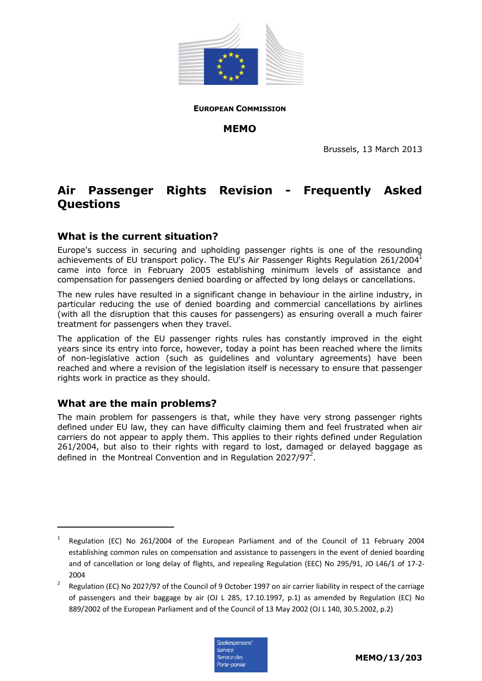

**EUROPEAN COMMISSION**

**MEMO** 

Brussels, 13 March 2013

# **Air Passenger Rights Revision - Frequently Asked Questions**

## **What is the current situation?**

Europe's success in securing and upholding passenger rights is one of the resounding achievements of EU transport policy. The EU's Air Passenger Rights Requlation 261/2004<sup>1</sup> came into force in February 2005 establishing minimum levels of assistance and compensation for passengers denied boarding or affected by long delays or cancellations.

The new rules have resulted in a significant change in behaviour in the airline industry, in particular reducing the use of denied boarding and commercial cancellations by airlines (with all the disruption that this causes for passengers) as ensuring overall a much fairer treatment for passengers when they travel.

The application of the EU passenger rights rules has constantly improved in the eight years since its entry into force, however, today a point has been reached where the limits of non-legislative action (such as guidelines and voluntary agreements) have been reached and where a revision of the legislation itself is necessary to ensure that passenger rights work in practice as they should.

## **What are the main problems?**

-

The main problem for passengers is that, while they have very strong passenger rights defined under EU law, they can have difficulty claiming them and feel frustrated when air carriers do not appear to apply them. This applies to their rights defined under Regulation 261/2004, but also to their rights with regard to lost, damaged or delayed baggage as defined in the Montreal Convention and in Regulation 2027/97<sup>2</sup>.

Regulation (EC) No 2027/97 of the Council of 9 October 1997 on air carrier liability in respect of the carriage of passengers and their baggage by air (OJ L 285, 17.10.1997, p.1) as amended by Regulation (EC) No 889/2002 of the European Parliament and of the Council of 13 May 2002 (OJ L 140, 30.5.2002, p.2)



<sup>1</sup> Regulation (EC) No 261/2004 of the European Parliament and of the Council of 11 February 2004 establishing common rules on compensation and assistance to passengers in the event of denied boarding and of cancellation or long delay of flights, and repealing Regulation (EEC) No 295/91, JO L46/1 of 17-2- 2004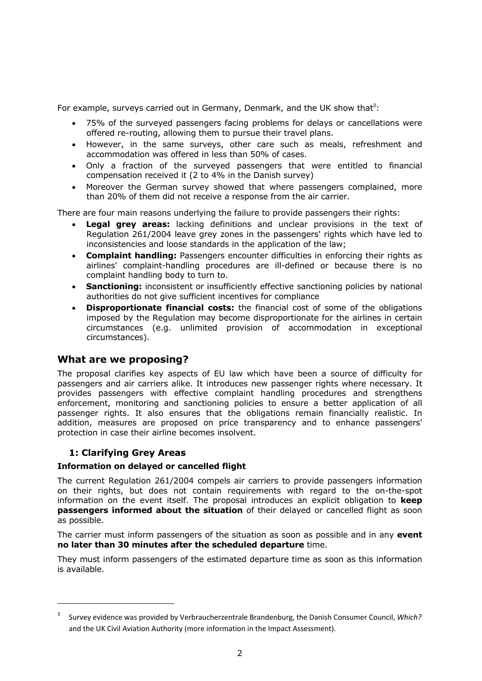For example, surveys carried out in Germany, Denmark, and the UK show that<sup>3</sup>:

- 75% of the surveyed passengers facing problems for delays or cancellations were offered re-routing, allowing them to pursue their travel plans.
- However, in the same surveys, other care such as meals, refreshment and accommodation was offered in less than 50% of cases.
- Only a fraction of the surveyed passengers that were entitled to financial compensation received it (2 to 4% in the Danish survey)
- Moreover the German survey showed that where passengers complained, more than 20% of them did not receive a response from the air carrier.

There are four main reasons underlying the failure to provide passengers their rights:

- **Legal grey areas:** lacking definitions and unclear provisions in the text of Regulation 261/2004 leave grey zones in the passengers' rights which have led to inconsistencies and loose standards in the application of the law;
- **Complaint handling:** Passengers encounter difficulties in enforcing their rights as airlines' complaint-handling procedures are ill-defined or because there is no complaint handling body to turn to.
- **Sanctioning:** inconsistent or insufficiently effective sanctioning policies by national authorities do not give sufficient incentives for compliance
- **Disproportionate financial costs:** the financial cost of some of the obligations imposed by the Regulation may become disproportionate for the airlines in certain circumstances (e.g. unlimited provision of accommodation in exceptional circumstances).

## **What are we proposing?**

The proposal clarifies key aspects of EU law which have been a source of difficulty for passengers and air carriers alike. It introduces new passenger rights where necessary. It provides passengers with effective complaint handling procedures and strengthens enforcement, monitoring and sanctioning policies to ensure a better application of all passenger rights. It also ensures that the obligations remain financially realistic. In addition, measures are proposed on price transparency and to enhance passengers' protection in case their airline becomes insolvent.

## **1: Clarifying Grey Areas**

-

#### **Information on delayed or cancelled flight**

The current Regulation 261/2004 compels air carriers to provide passengers information on their rights, but does not contain requirements with regard to the on-the-spot information on the event itself. The proposal introduces an explicit obligation to **keep passengers informed about the situation** of their delayed or cancelled flight as soon as possible.

The carrier must inform passengers of the situation as soon as possible and in any **event no later than 30 minutes after the scheduled departure** time.

They must inform passengers of the estimated departure time as soon as this information is available.

<sup>3</sup> Survey evidence was provided by Verbraucherzentrale Brandenburg, the Danish Consumer Council, *Which?* and the UK Civil Aviation Authority (more information in the Impact Assessment).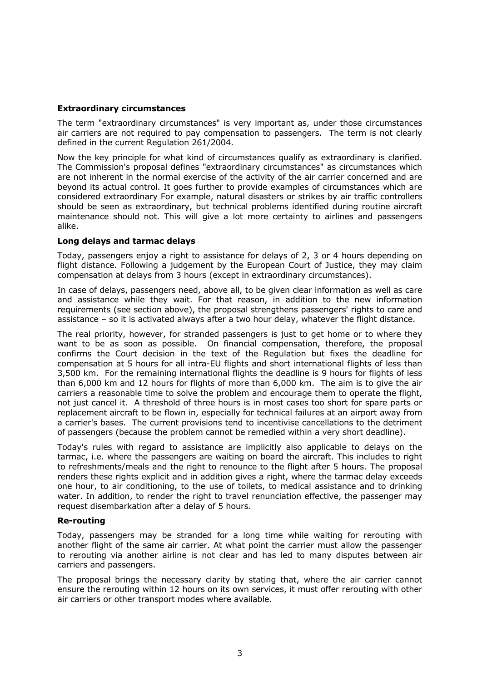## **Extraordinary circumstances**

The term "extraordinary circumstances" is very important as, under those circumstances air carriers are not required to pay compensation to passengers. The term is not clearly defined in the current Regulation 261/2004.

Now the key principle for what kind of circumstances qualify as extraordinary is clarified. The Commission's proposal defines "extraordinary circumstances" as circumstances which are not inherent in the normal exercise of the activity of the air carrier concerned and are beyond its actual control. It goes further to provide examples of circumstances which are considered extraordinary For example, natural disasters or strikes by air traffic controllers should be seen as extraordinary, but technical problems identified during routine aircraft maintenance should not. This will give a lot more certainty to airlines and passengers alike.

#### **Long delays and tarmac delays**

Today, passengers enjoy a right to assistance for delays of 2, 3 or 4 hours depending on flight distance. Following a judgement by the European Court of Justice, they may claim compensation at delays from 3 hours (except in extraordinary circumstances).

In case of delays, passengers need, above all, to be given clear information as well as care and assistance while they wait. For that reason, in addition to the new information requirements (see section above), the proposal strengthens passengers' rights to care and assistance – so it is activated always after a two hour delay, whatever the flight distance.

The real priority, however, for stranded passengers is just to get home or to where they want to be as soon as possible. On financial compensation, therefore, the proposal confirms the Court decision in the text of the Regulation but fixes the deadline for compensation at 5 hours for all intra-EU flights and short international flights of less than 3,500 km. For the remaining international flights the deadline is 9 hours for flights of less than 6,000 km and 12 hours for flights of more than 6,000 km. The aim is to give the air carriers a reasonable time to solve the problem and encourage them to operate the flight, not just cancel it. A threshold of three hours is in most cases too short for spare parts or replacement aircraft to be flown in, especially for technical failures at an airport away from a carrier's bases. The current provisions tend to incentivise cancellations to the detriment of passengers (because the problem cannot be remedied within a very short deadline).

Today's rules with regard to assistance are implicitly also applicable to delays on the tarmac, i.e. where the passengers are waiting on board the aircraft. This includes to right to refreshments/meals and the right to renounce to the flight after 5 hours. The proposal renders these rights explicit and in addition gives a right, where the tarmac delay exceeds one hour, to air conditioning, to the use of toilets, to medical assistance and to drinking water. In addition, to render the right to travel renunciation effective, the passenger may request disembarkation after a delay of 5 hours.

#### **Re-routing**

Today, passengers may be stranded for a long time while waiting for rerouting with another flight of the same air carrier. At what point the carrier must allow the passenger to rerouting via another airline is not clear and has led to many disputes between air carriers and passengers.

The proposal brings the necessary clarity by stating that, where the air carrier cannot ensure the rerouting within 12 hours on its own services, it must offer rerouting with other air carriers or other transport modes where available.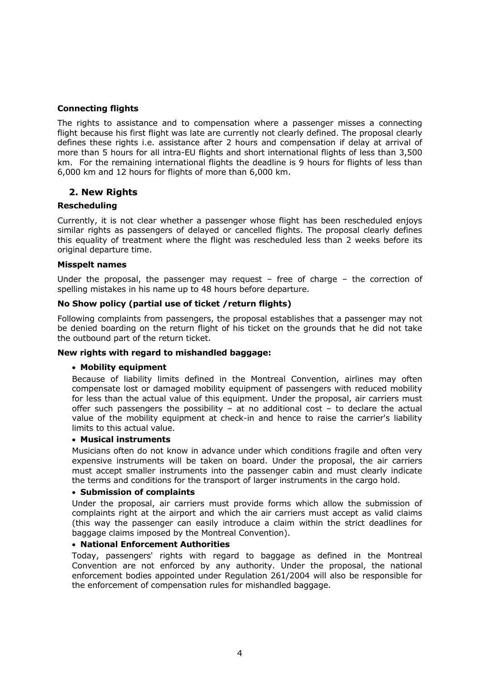## **Connecting flights**

The rights to assistance and to compensation where a passenger misses a connecting flight because his first flight was late are currently not clearly defined. The proposal clearly defines these rights i.e. assistance after 2 hours and compensation if delay at arrival of more than 5 hours for all intra-EU flights and short international flights of less than 3,500 km. For the remaining international flights the deadline is 9 hours for flights of less than 6,000 km and 12 hours for flights of more than 6,000 km.

## **2. New Rights**

#### **Rescheduling**

Currently, it is not clear whether a passenger whose flight has been rescheduled enjoys similar rights as passengers of delayed or cancelled flights. The proposal clearly defines this equality of treatment where the flight was rescheduled less than 2 weeks before its original departure time.

#### **Misspelt names**

Under the proposal, the passenger may request  $-$  free of charge  $-$  the correction of spelling mistakes in his name up to 48 hours before departure.

#### **No Show policy (partial use of ticket /return flights)**

Following complaints from passengers, the proposal establishes that a passenger may not be denied boarding on the return flight of his ticket on the grounds that he did not take the outbound part of the return ticket.

#### **New rights with regard to mishandled baggage:**

#### • **Mobility equipment**

Because of liability limits defined in the Montreal Convention, airlines may often compensate lost or damaged mobility equipment of passengers with reduced mobility for less than the actual value of this equipment. Under the proposal, air carriers must offer such passengers the possibility - at no additional cost - to declare the actual value of the mobility equipment at check-in and hence to raise the carrier's liability limits to this actual value.

#### • **Musical instruments**

Musicians often do not know in advance under which conditions fragile and often very expensive instruments will be taken on board. Under the proposal, the air carriers must accept smaller instruments into the passenger cabin and must clearly indicate the terms and conditions for the transport of larger instruments in the cargo hold.

#### • **Submission of complaints**

Under the proposal, air carriers must provide forms which allow the submission of complaints right at the airport and which the air carriers must accept as valid claims (this way the passenger can easily introduce a claim within the strict deadlines for baggage claims imposed by the Montreal Convention).

#### • **National Enforcement Authorities**

Today, passengers' rights with regard to baggage as defined in the Montreal Convention are not enforced by any authority. Under the proposal, the national enforcement bodies appointed under Regulation 261/2004 will also be responsible for the enforcement of compensation rules for mishandled baggage.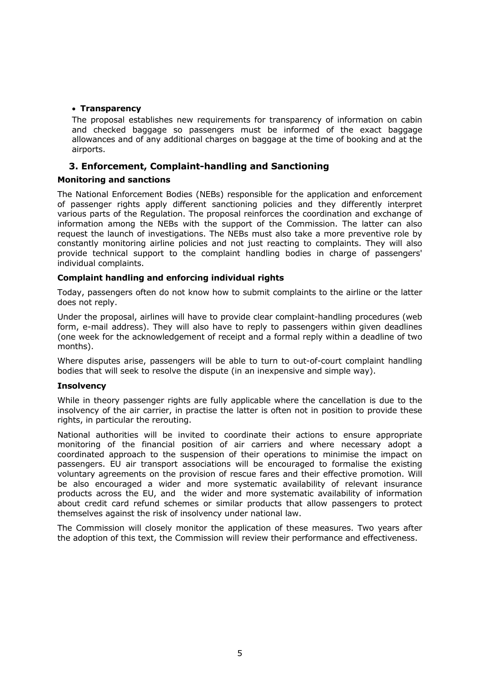## • **Transparency**

The proposal establishes new requirements for transparency of information on cabin and checked baggage so passengers must be informed of the exact baggage allowances and of any additional charges on baggage at the time of booking and at the airports.

## **3. Enforcement, Complaint-handling and Sanctioning**

## **Monitoring and sanctions**

The National Enforcement Bodies (NEBs) responsible for the application and enforcement of passenger rights apply different sanctioning policies and they differently interpret various parts of the Regulation. The proposal reinforces the coordination and exchange of information among the NEBs with the support of the Commission. The latter can also request the launch of investigations. The NEBs must also take a more preventive role by constantly monitoring airline policies and not just reacting to complaints. They will also provide technical support to the complaint handling bodies in charge of passengers' individual complaints.

## **Complaint handling and enforcing individual rights**

Today, passengers often do not know how to submit complaints to the airline or the latter does not reply.

Under the proposal, airlines will have to provide clear complaint-handling procedures (web form, e-mail address). They will also have to reply to passengers within given deadlines (one week for the acknowledgement of receipt and a formal reply within a deadline of two months).

Where disputes arise, passengers will be able to turn to out-of-court complaint handling bodies that will seek to resolve the dispute (in an inexpensive and simple way).

#### **Insolvency**

While in theory passenger rights are fully applicable where the cancellation is due to the insolvency of the air carrier, in practise the latter is often not in position to provide these rights, in particular the rerouting.

National authorities will be invited to coordinate their actions to ensure appropriate monitoring of the financial position of air carriers and where necessary adopt a coordinated approach to the suspension of their operations to minimise the impact on passengers. EU air transport associations will be encouraged to formalise the existing voluntary agreements on the provision of rescue fares and their effective promotion. Will be also encouraged a wider and more systematic availability of relevant insurance products across the EU, and the wider and more systematic availability of information about credit card refund schemes or similar products that allow passengers to protect themselves against the risk of insolvency under national law.

The Commission will closely monitor the application of these measures. Two years after the adoption of this text, the Commission will review their performance and effectiveness.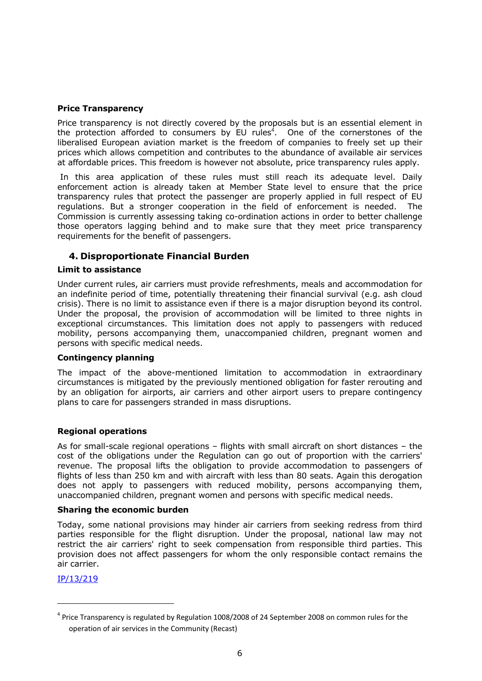## **Price Transparency**

Price transparency is not directly covered by the proposals but is an essential element in the protection afforded to consumers by  $EU$  rules<sup>4</sup>. One of the cornerstones of the liberalised European aviation market is the freedom of companies to freely set up their prices which allows competition and contributes to the abundance of available air services at affordable prices. This freedom is however not absolute, price transparency rules apply.

 In this area application of these rules must still reach its adequate level. Daily enforcement action is already taken at Member State level to ensure that the price transparency rules that protect the passenger are properly applied in full respect of EU regulations. But a stronger cooperation in the field of enforcement is needed. The Commission is currently assessing taking co-ordination actions in order to better challenge those operators lagging behind and to make sure that they meet price transparency requirements for the benefit of passengers.

## **4. Disproportionate Financial Burden**

#### **Limit to assistance**

Under current rules, air carriers must provide refreshments, meals and accommodation for an indefinite period of time, potentially threatening their financial survival (e.g. ash cloud crisis). There is no limit to assistance even if there is a major disruption beyond its control. Under the proposal, the provision of accommodation will be limited to three nights in exceptional circumstances. This limitation does not apply to passengers with reduced mobility, persons accompanying them, unaccompanied children, pregnant women and persons with specific medical needs.

#### **Contingency planning**

The impact of the above-mentioned limitation to accommodation in extraordinary circumstances is mitigated by the previously mentioned obligation for faster rerouting and by an obligation for airports, air carriers and other airport users to prepare contingency plans to care for passengers stranded in mass disruptions.

#### **Regional operations**

As for small-scale regional operations – flights with small aircraft on short distances – the cost of the obligations under the Regulation can go out of proportion with the carriers' revenue. The proposal lifts the obligation to provide accommodation to passengers of flights of less than 250 km and with aircraft with less than 80 seats. Again this derogation does not apply to passengers with reduced mobility, persons accompanying them, unaccompanied children, pregnant women and persons with specific medical needs.

#### **Sharing the economic burden**

Today, some national provisions may hinder air carriers from seeking redress from third parties responsible for the flight disruption. Under the proposal, national law may not restrict the air carriers' right to seek compensation from responsible third parties. This provision does not affect passengers for whom the only responsible contact remains the air carrier.

[IP/13/219](http://europa.eu/rapid/press-release_IP-13-219_en.htm)

-

<sup>&</sup>lt;sup>4</sup> Price Transparency is regulated by Regulation 1008/2008 of 24 September 2008 on common rules for the operation of air services in the Community (Recast)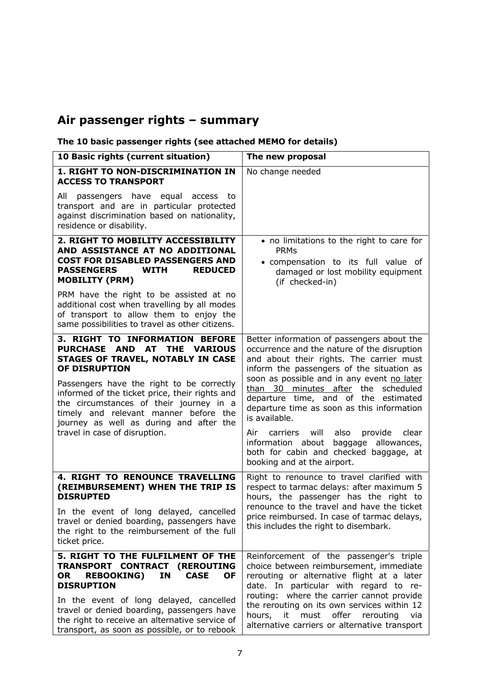# **Air passenger rights – summary**

## **The 10 basic passenger rights (see attached MEMO for details)**

| 10 Basic rights (current situation)                                                                                                                                                                                                            | The new proposal                                                                                                                                                                                                                                                                                                   |
|------------------------------------------------------------------------------------------------------------------------------------------------------------------------------------------------------------------------------------------------|--------------------------------------------------------------------------------------------------------------------------------------------------------------------------------------------------------------------------------------------------------------------------------------------------------------------|
| 1. RIGHT TO NON-DISCRIMINATION IN<br><b>ACCESS TO TRANSPORT</b>                                                                                                                                                                                | No change needed                                                                                                                                                                                                                                                                                                   |
| passengers have equal access to<br>All<br>transport and are in particular protected<br>against discrimination based on nationality,<br>residence or disability.                                                                                |                                                                                                                                                                                                                                                                                                                    |
| 2. RIGHT TO MOBILITY ACCESSIBILITY<br>AND ASSISTANCE AT NO ADDITIONAL<br><b>COST FOR DISABLED PASSENGERS AND</b><br><b>PASSENGERS</b><br><b>WITH</b><br><b>REDUCED</b><br><b>MOBILITY (PRM)</b>                                                | • no limitations to the right to care for<br><b>PRMs</b><br>• compensation to its full value of<br>damaged or lost mobility equipment<br>(if checked-in)                                                                                                                                                           |
| PRM have the right to be assisted at no<br>additional cost when travelling by all modes<br>of transport to allow them to enjoy the<br>same possibilities to travel as other citizens.                                                          |                                                                                                                                                                                                                                                                                                                    |
| <b>3. RIGHT TO INFORMATION BEFORE</b><br>PURCHASE AND AT THE VARIOUS<br>STAGES OF TRAVEL, NOTABLY IN CASE<br>OF DISRUPTION                                                                                                                     | Better information of passengers about the<br>occurrence and the nature of the disruption<br>and about their rights. The carrier must<br>inform the passengers of the situation as                                                                                                                                 |
| Passengers have the right to be correctly<br>informed of the ticket price, their rights and<br>the circumstances of their journey in a<br>timely and relevant manner before the<br>journey as well as during and after the                     | soon as possible and in any event no later<br>than 30 minutes after the scheduled<br>departure time, and of the estimated<br>departure time as soon as this information<br>is available.                                                                                                                           |
| travel in case of disruption.                                                                                                                                                                                                                  | Air<br>carriers will<br>also<br>provide<br>clear<br>information about<br>baggage allowances,<br>both for cabin and checked baggage, at<br>booking and at the airport.                                                                                                                                              |
| <b>4. RIGHT TO RENOUNCE TRAVELLING</b><br>(REIMBURSEMENT) WHEN THE TRIP IS<br><b>DISRUPTED</b>                                                                                                                                                 | Right to renounce to travel clarified with<br>respect to tarmac delays: after maximum 5<br>hours, the passenger has the right to                                                                                                                                                                                   |
| In the event of long delayed, cancelled<br>travel or denied boarding, passengers have<br>the right to the reimbursement of the full<br>ticket price.                                                                                           | renounce to the travel and have the ticket<br>price reimbursed. In case of tarmac delays,<br>this includes the right to disembark.                                                                                                                                                                                 |
| 5. RIGHT TO THE FULFILMENT OF THE<br>TRANSPORT CONTRACT (REROUTING<br><b>REBOOKING)</b><br><b>CASE</b><br><b>OF</b><br>OR.<br>IN<br><b>DISRUPTION</b><br>In the event of long delayed, cancelled<br>travel or denied boarding, passengers have | Reinforcement of the passenger's triple<br>choice between reimbursement, immediate<br>rerouting or alternative flight at a later<br>date. In particular with regard to re-<br>routing: where the carrier cannot provide<br>the rerouting on its own services within 12<br>it must offer rerouting<br>hours,<br>via |
| the right to receive an alternative service of<br>transport, as soon as possible, or to rebook                                                                                                                                                 | alternative carriers or alternative transport                                                                                                                                                                                                                                                                      |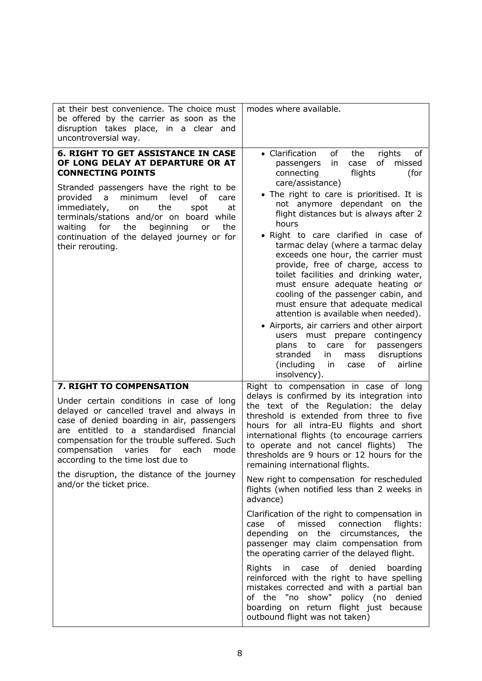| at their best convenience. The choice must<br>be offered by the carrier as soon as the<br>disruption takes place, in a clear and<br>uncontroversial way.                                                                                                                                                                                                                                                       | modes where available.                                                                                                                                                                                                                                                                                                                                                                                                                                                                                                                                                                                                                                                                                                                                                                                                                                                       |
|----------------------------------------------------------------------------------------------------------------------------------------------------------------------------------------------------------------------------------------------------------------------------------------------------------------------------------------------------------------------------------------------------------------|------------------------------------------------------------------------------------------------------------------------------------------------------------------------------------------------------------------------------------------------------------------------------------------------------------------------------------------------------------------------------------------------------------------------------------------------------------------------------------------------------------------------------------------------------------------------------------------------------------------------------------------------------------------------------------------------------------------------------------------------------------------------------------------------------------------------------------------------------------------------------|
| <b>6. RIGHT TO GET ASSISTANCE IN CASE</b><br>OF LONG DELAY AT DEPARTURE OR AT<br><b>CONNECTING POINTS</b><br>Stranded passengers have the right to be<br>minimum level<br>provided a<br>οf<br>care<br>immediately,<br>the<br>spot<br>at<br>on<br>terminals/stations and/or on board<br>while<br>for the<br>beginning<br>the<br>waiting<br>or<br>continuation of the delayed journey or for<br>their rerouting. | • Clarification<br>of<br>rights<br>the<br>of<br>of<br>missed<br>passengers<br>in<br>case<br>flights<br>connecting<br>(for<br>care/assistance)<br>• The right to care is prioritised. It is<br>not anymore dependant on the<br>flight distances but is always after 2<br>hours<br>• Right to care clarified in case of<br>tarmac delay (where a tarmac delay<br>exceeds one hour, the carrier must<br>provide, free of charge, access to<br>toilet facilities and drinking water,<br>must ensure adequate heating or<br>cooling of the passenger cabin, and<br>must ensure that adequate medical<br>attention is available when needed).<br>• Airports, air carriers and other airport<br>must prepare contingency<br>users<br>plans<br>care for<br>to<br>passengers<br>stranded<br>disruptions<br>in.<br>mass<br>(including)<br>of<br>airline<br>in.<br>case<br>insolvency). |
| 7. RIGHT TO COMPENSATION                                                                                                                                                                                                                                                                                                                                                                                       | Right to compensation in case of long                                                                                                                                                                                                                                                                                                                                                                                                                                                                                                                                                                                                                                                                                                                                                                                                                                        |
| Under certain conditions in case of long<br>delayed or cancelled travel and always in<br>case of denied boarding in air, passengers<br>are entitled to a standardised financial<br>compensation for the trouble suffered. Such<br>compensation varies for<br>mode<br>each<br>according to the time lost due to<br>the disruption, the distance of the journey<br>and/or the ticket price.                      | delays is confirmed by its integration into<br>the text of the Regulation: the delay<br>threshold is extended from three to five<br>hours for all intra-EU flights and short<br>international flights (to encourage carriers<br>to operate and not cancel flights)<br>The<br>thresholds are 9 hours or 12 hours for the<br>remaining international flights.                                                                                                                                                                                                                                                                                                                                                                                                                                                                                                                  |
|                                                                                                                                                                                                                                                                                                                                                                                                                | New right to compensation for rescheduled<br>flights (when notified less than 2 weeks in<br>advance)                                                                                                                                                                                                                                                                                                                                                                                                                                                                                                                                                                                                                                                                                                                                                                         |
|                                                                                                                                                                                                                                                                                                                                                                                                                | Clarification of the right to compensation in<br>missed<br>connection<br>of<br>case<br>flights:<br>depending<br>on the<br>circumstances, the<br>passenger may claim compensation from<br>the operating carrier of the delayed flight.                                                                                                                                                                                                                                                                                                                                                                                                                                                                                                                                                                                                                                        |
|                                                                                                                                                                                                                                                                                                                                                                                                                | Rights<br>of<br>denied<br>in<br>case<br>boarding<br>reinforced with the right to have spelling<br>mistakes corrected and with a partial ban<br>of the "no<br>show" policy (no<br>denied<br>boarding on return flight just because<br>outbound flight was not taken)                                                                                                                                                                                                                                                                                                                                                                                                                                                                                                                                                                                                          |